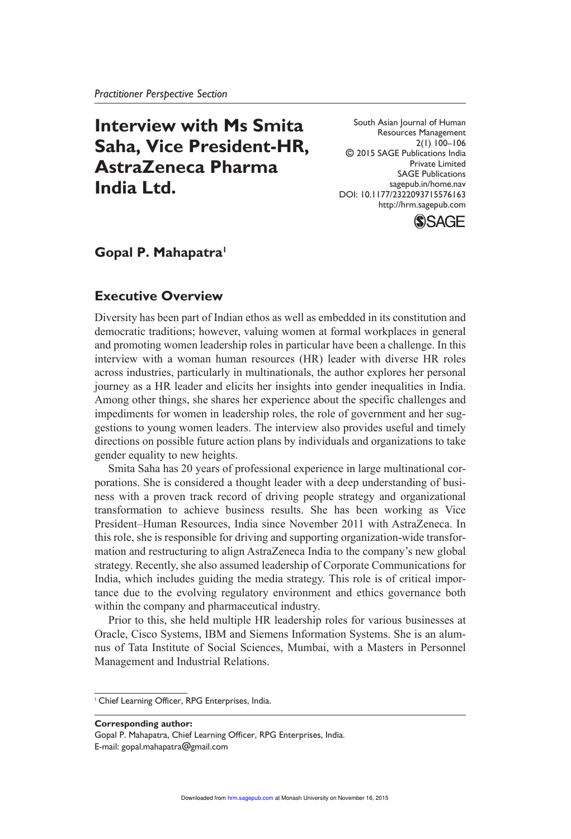# **Interview with Ms Smita Saha, Vice President-HR, AstraZeneca Pharma India Ltd.**

South Asian Journal of Human Resources Management 2(1) 100–106 2015 SAGE Publications India Private Limited SAGE Publications sagepub.in/home.nav DOI: 10.1177/2322093715576163 http://hrm.sagepub.com



## **Gopal P. Mahapatra<sup>1</sup>**

## **Executive Overview**

Diversity has been part of Indian ethos as well as embedded in its constitution and democratic traditions; however, valuing women at formal workplaces in general and promoting women leadership roles in particular have been a challenge. In this interview with a woman human resources (HR) leader with diverse HR roles across industries, particularly in multinationals, the author explores her personal journey as a HR leader and elicits her insights into gender inequalities in India. Among other things, she shares her experience about the specific challenges and impediments for women in leadership roles, the role of government and her suggestions to young women leaders. The interview also provides useful and timely directions on possible future action plans by individuals and organizations to take gender equality to new heights.

Smita Saha has 20 years of professional experience in large multinational corporations. She is considered a thought leader with a deep understanding of business with a proven track record of driving people strategy and organizational transformation to achieve business results. She has been working as Vice President–Human Resources, India since November 2011 with AstraZeneca. In this role, she is responsible for driving and supporting organization-wide transformation and restructuring to align AstraZeneca India to the company's new global strategy. Recently, she also assumed leadership of Corporate Communications for India, which includes guiding the media strategy. This role is of critical importance due to the evolving regulatory environment and ethics governance both within the company and pharmaceutical industry.

Prior to this, she held multiple HR leadership roles for various businesses at Oracle, Cisco Systems, IBM and Siemens Information Systems. She is an alumnus of Tata Institute of Social Sciences, Mumbai, with a Masters in Personnel Management and Industrial Relations.

**Corresponding author:**

Gopal P. Mahapatra, Chief Learning Officer, RPG Enterprises, India. E-mail: gopal.mahapatra@gmail.com

<sup>&</sup>lt;sup>1</sup> Chief Learning Officer, RPG Enterprises, India.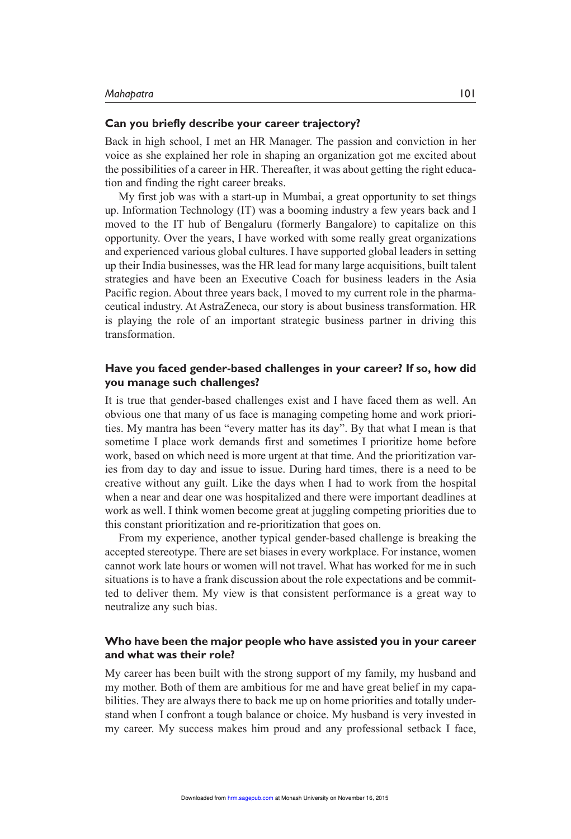#### **Can you briefly describe your career trajectory?**

Back in high school, I met an HR Manager. The passion and conviction in her voice as she explained her role in shaping an organization got me excited about the possibilities of a career in HR. Thereafter, it was about getting the right education and finding the right career breaks.

My first job was with a start-up in Mumbai, a great opportunity to set things up. Information Technology (IT) was a booming industry a few years back and I moved to the IT hub of Bengaluru (formerly Bangalore) to capitalize on this opportunity. Over the years, I have worked with some really great organizations and experienced various global cultures. I have supported global leaders in setting up their India businesses, was the HR lead for many large acquisitions, built talent strategies and have been an Executive Coach for business leaders in the Asia Pacific region. About three years back, I moved to my current role in the pharmaceutical industry. At AstraZeneca, our story is about business transformation. HR is playing the role of an important strategic business partner in driving this transformation.

#### **Have you faced gender-based challenges in your career? If so, how did you manage such challenges?**

It is true that gender-based challenges exist and I have faced them as well. An obvious one that many of us face is managing competing home and work priorities. My mantra has been "every matter has its day". By that what I mean is that sometime I place work demands first and sometimes I prioritize home before work, based on which need is more urgent at that time. And the prioritization varies from day to day and issue to issue. During hard times, there is a need to be creative without any guilt. Like the days when I had to work from the hospital when a near and dear one was hospitalized and there were important deadlines at work as well. I think women become great at juggling competing priorities due to this constant prioritization and re-prioritization that goes on.

From my experience, another typical gender-based challenge is breaking the accepted stereotype. There are set biases in every workplace. For instance, women cannot work late hours or women will not travel. What has worked for me in such situations is to have a frank discussion about the role expectations and be committed to deliver them. My view is that consistent performance is a great way to neutralize any such bias.

#### **Who have been the major people who have assisted you in your career and what was their role?**

My career has been built with the strong support of my family, my husband and my mother. Both of them are ambitious for me and have great belief in my capabilities. They are always there to back me up on home priorities and totally understand when I confront a tough balance or choice. My husband is very invested in my career. My success makes him proud and any professional setback I face,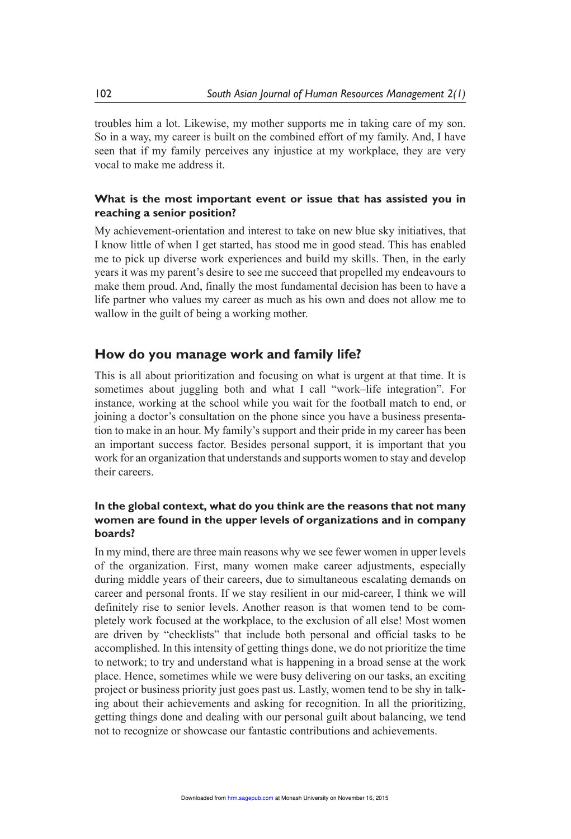troubles him a lot. Likewise, my mother supports me in taking care of my son. So in a way, my career is built on the combined effort of my family. And, I have seen that if my family perceives any injustice at my workplace, they are very vocal to make me address it.

#### **What is the most important event or issue that has assisted you in reaching a senior position?**

My achievement-orientation and interest to take on new blue sky initiatives, that I know little of when I get started, has stood me in good stead. This has enabled me to pick up diverse work experiences and build my skills. Then, in the early years it was my parent's desire to see me succeed that propelled my endeavours to make them proud. And, finally the most fundamental decision has been to have a life partner who values my career as much as his own and does not allow me to wallow in the guilt of being a working mother.

## **How do you manage work and family life?**

This is all about prioritization and focusing on what is urgent at that time. It is sometimes about juggling both and what I call "work–life integration". For instance, working at the school while you wait for the football match to end, or joining a doctor's consultation on the phone since you have a business presentation to make in an hour. My family's support and their pride in my career has been an important success factor. Besides personal support, it is important that you work for an organization that understands and supports women to stay and develop their careers.

### **In the global context, what do you think are the reasons that not many women are found in the upper levels of organizations and in company boards?**

In my mind, there are three main reasons why we see fewer women in upper levels of the organization. First, many women make career adjustments, especially during middle years of their careers, due to simultaneous escalating demands on career and personal fronts. If we stay resilient in our mid-career, I think we will definitely rise to senior levels. Another reason is that women tend to be completely work focused at the workplace, to the exclusion of all else! Most women are driven by "checklists" that include both personal and official tasks to be accomplished. In this intensity of getting things done, we do not prioritize the time to network; to try and understand what is happening in a broad sense at the work place. Hence, sometimes while we were busy delivering on our tasks, an exciting project or business priority just goes past us. Lastly, women tend to be shy in talking about their achievements and asking for recognition. In all the prioritizing, getting things done and dealing with our personal guilt about balancing, we tend not to recognize or showcase our fantastic contributions and achievements.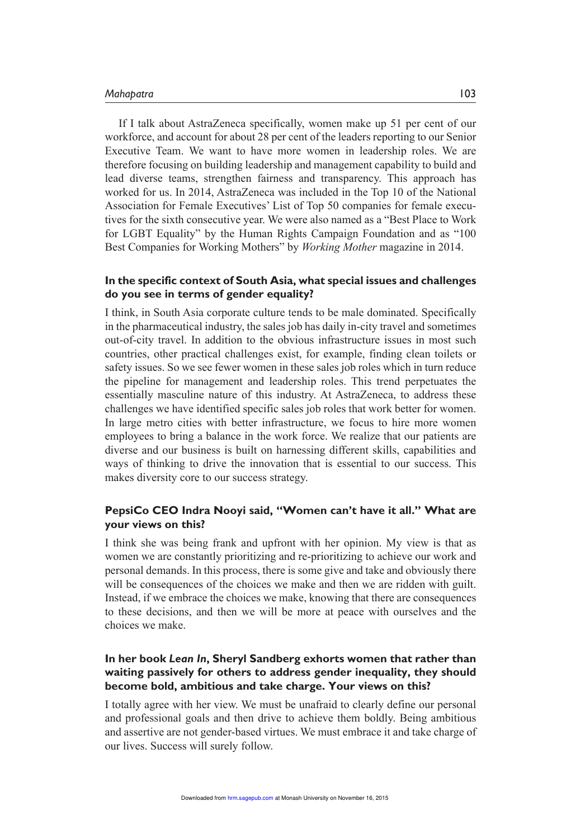If I talk about AstraZeneca specifically, women make up 51 per cent of our workforce, and account for about 28 per cent of the leaders reporting to our Senior Executive Team. We want to have more women in leadership roles. We are therefore focusing on building leadership and management capability to build and lead diverse teams, strengthen fairness and transparency. This approach has worked for us. In 2014, AstraZeneca was included in the Top 10 of the National Association for Female Executives' List of Top 50 companies for female executives for the sixth consecutive year. We were also named as a "Best Place to Work for LGBT Equality" by the Human Rights Campaign Foundation and as "100 Best Companies for Working Mothers" by *Working Mother* magazine in 2014.

#### **In the specific context of South Asia, what special issues and challenges do you see in terms of gender equality?**

I think, in South Asia corporate culture tends to be male dominated. Specifically in the pharmaceutical industry, the sales job has daily in-city travel and sometimes out-of-city travel. In addition to the obvious infrastructure issues in most such countries, other practical challenges exist, for example, finding clean toilets or safety issues. So we see fewer women in these sales job roles which in turn reduce the pipeline for management and leadership roles. This trend perpetuates the essentially masculine nature of this industry. At AstraZeneca, to address these challenges we have identified specific sales job roles that work better for women. In large metro cities with better infrastructure, we focus to hire more women employees to bring a balance in the work force. We realize that our patients are diverse and our business is built on harnessing different skills, capabilities and ways of thinking to drive the innovation that is essential to our success. This makes diversity core to our success strategy.

#### **PepsiCo CEO Indra Nooyi said, "Women can't have it all." What are your views on this?**

I think she was being frank and upfront with her opinion. My view is that as women we are constantly prioritizing and re-prioritizing to achieve our work and personal demands. In this process, there is some give and take and obviously there will be consequences of the choices we make and then we are ridden with guilt. Instead, if we embrace the choices we make, knowing that there are consequences to these decisions, and then we will be more at peace with ourselves and the choices we make.

#### **In her book** *Lean In***, Sheryl Sandberg exhorts women that rather than waiting passively for others to address gender inequality, they should become bold, ambitious and take charge. Your views on this?**

I totally agree with her view. We must be unafraid to clearly define our personal and professional goals and then drive to achieve them boldly. Being ambitious and assertive are not gender-based virtues. We must embrace it and take charge of our lives. Success will surely follow.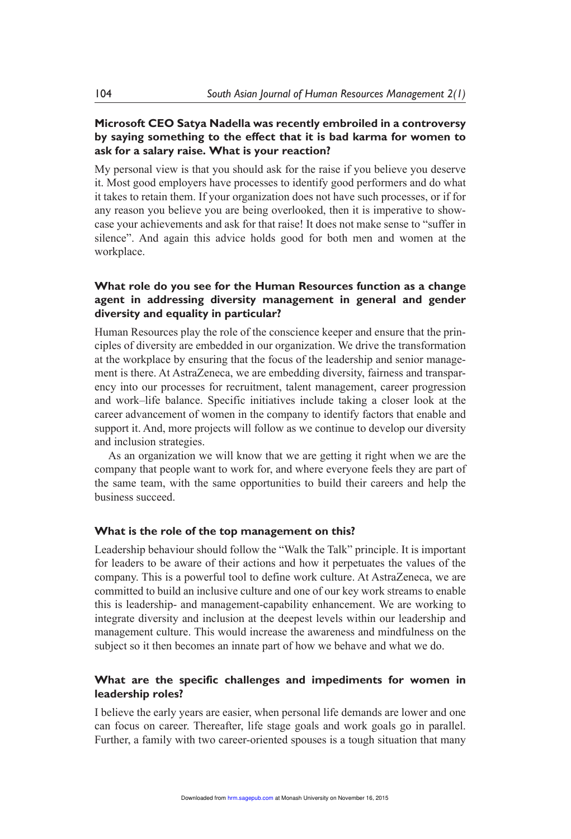#### **Microsoft CEO Satya Nadella was recently embroiled in a controversy by saying something to the effect that it is bad karma for women to ask for a salary raise. What is your reaction?**

My personal view is that you should ask for the raise if you believe you deserve it. Most good employers have processes to identify good performers and do what it takes to retain them. If your organization does not have such processes, or if for any reason you believe you are being overlooked, then it is imperative to showcase your achievements and ask for that raise! It does not make sense to "suffer in silence". And again this advice holds good for both men and women at the workplace.

#### **What role do you see for the Human Resources function as a change agent in addressing diversity management in general and gender diversity and equality in particular?**

Human Resources play the role of the conscience keeper and ensure that the principles of diversity are embedded in our organization. We drive the transformation at the workplace by ensuring that the focus of the leadership and senior management is there. At AstraZeneca, we are embedding diversity, fairness and transparency into our processes for recruitment, talent management, career progression and work–life balance. Specific initiatives include taking a closer look at the career advancement of women in the company to identify factors that enable and support it. And, more projects will follow as we continue to develop our diversity and inclusion strategies.

As an organization we will know that we are getting it right when we are the company that people want to work for, and where everyone feels they are part of the same team, with the same opportunities to build their careers and help the business succeed.

#### **What is the role of the top management on this?**

Leadership behaviour should follow the "Walk the Talk" principle. It is important for leaders to be aware of their actions and how it perpetuates the values of the company. This is a powerful tool to define work culture. At AstraZeneca, we are committed to build an inclusive culture and one of our key work streams to enable this is leadership- and management-capability enhancement. We are working to integrate diversity and inclusion at the deepest levels within our leadership and management culture. This would increase the awareness and mindfulness on the subject so it then becomes an innate part of how we behave and what we do.

### **What are the specific challenges and impediments for women in leadership roles?**

I believe the early years are easier, when personal life demands are lower and one can focus on career. Thereafter, life stage goals and work goals go in parallel. Further, a family with two career-oriented spouses is a tough situation that many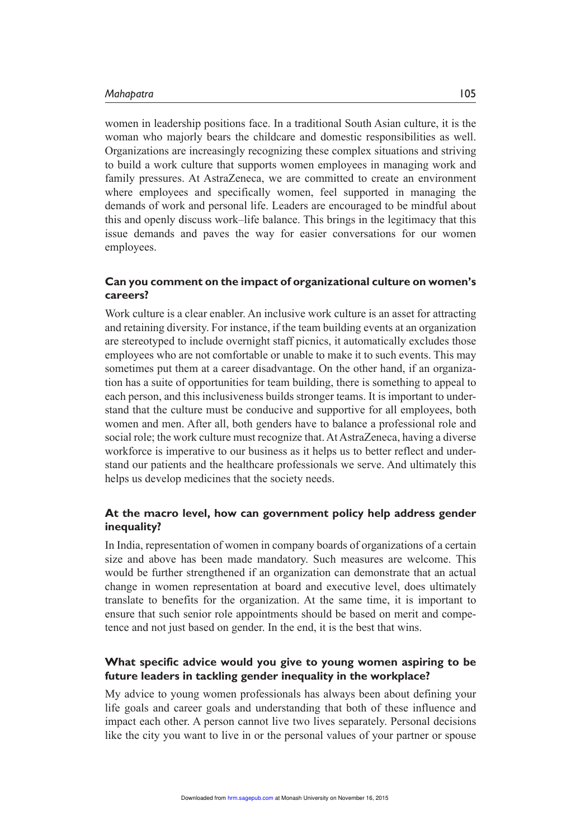women in leadership positions face. In a traditional South Asian culture, it is the woman who majorly bears the childcare and domestic responsibilities as well. Organizations are increasingly recognizing these complex situations and striving to build a work culture that supports women employees in managing work and family pressures. At AstraZeneca, we are committed to create an environment where employees and specifically women, feel supported in managing the demands of work and personal life. Leaders are encouraged to be mindful about this and openly discuss work–life balance. This brings in the legitimacy that this issue demands and paves the way for easier conversations for our women employees.

#### **Can you comment on the impact of organizational culture on women's careers?**

Work culture is a clear enabler. An inclusive work culture is an asset for attracting and retaining diversity. For instance, if the team building events at an organization are stereotyped to include overnight staff picnics, it automatically excludes those employees who are not comfortable or unable to make it to such events. This may sometimes put them at a career disadvantage. On the other hand, if an organization has a suite of opportunities for team building, there is something to appeal to each person, and this inclusiveness builds stronger teams. It is important to understand that the culture must be conducive and supportive for all employees, both women and men. After all, both genders have to balance a professional role and social role; the work culture must recognize that. At AstraZeneca, having a diverse workforce is imperative to our business as it helps us to better reflect and understand our patients and the healthcare professionals we serve. And ultimately this helps us develop medicines that the society needs.

#### **At the macro level, how can government policy help address gender inequality?**

In India, representation of women in company boards of organizations of a certain size and above has been made mandatory. Such measures are welcome. This would be further strengthened if an organization can demonstrate that an actual change in women representation at board and executive level, does ultimately translate to benefits for the organization. At the same time, it is important to ensure that such senior role appointments should be based on merit and competence and not just based on gender. In the end, it is the best that wins.

#### **What specific advice would you give to young women aspiring to be future leaders in tackling gender inequality in the workplace?**

My advice to young women professionals has always been about defining your life goals and career goals and understanding that both of these influence and impact each other. A person cannot live two lives separately. Personal decisions like the city you want to live in or the personal values of your partner or spouse